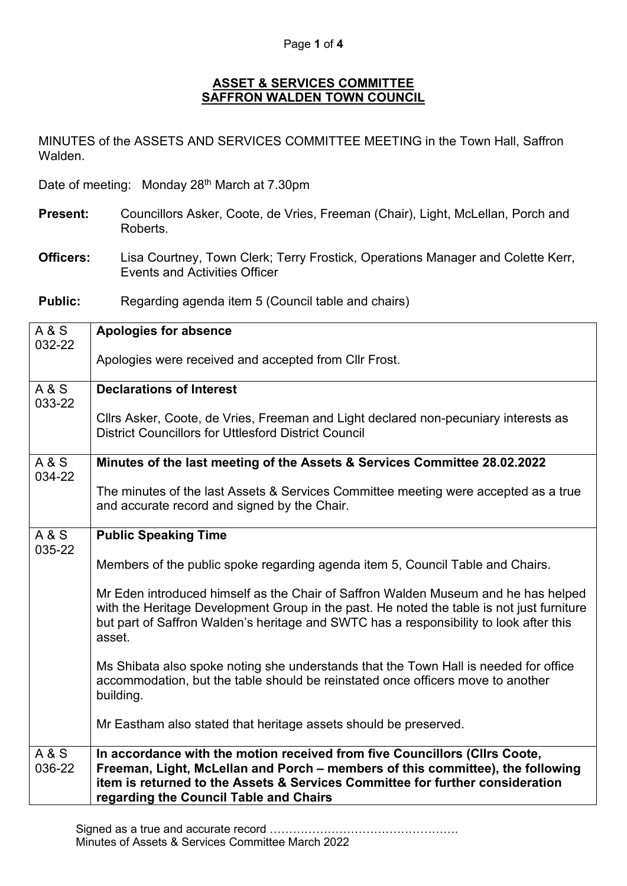## Page **1** of **4**

## **ASSET & SERVICES COMMITTEE SAFFRON WALDEN TOWN COUNCIL**

MINUTES of the ASSETS AND SERVICES COMMITTEE MEETING in the Town Hall, Saffron Walden.

Date of meeting: Monday 28<sup>th</sup> March at 7.30pm

- **Present:** Councillors Asker, Coote, de Vries, Freeman (Chair), Light, McLellan, Porch and Roberts.
- **Officers:** Lisa Courtney, Town Clerk; Terry Frostick, Operations Manager and Colette Kerr, Events and Activities Officer

**Public:** Regarding agenda item 5 (Council table and chairs)

| <b>A&amp;S</b><br>032-22 | Apologies for absence                                                                                                                                                                                                                                                                   |
|--------------------------|-----------------------------------------------------------------------------------------------------------------------------------------------------------------------------------------------------------------------------------------------------------------------------------------|
|                          | Apologies were received and accepted from CIIr Frost.                                                                                                                                                                                                                                   |
| <b>A&amp;S</b><br>033-22 | <b>Declarations of Interest</b>                                                                                                                                                                                                                                                         |
|                          | Cllrs Asker, Coote, de Vries, Freeman and Light declared non-pecuniary interests as<br><b>District Councillors for Uttlesford District Council</b>                                                                                                                                      |
| A & S<br>034-22          | Minutes of the last meeting of the Assets & Services Committee 28.02.2022                                                                                                                                                                                                               |
|                          | The minutes of the last Assets & Services Committee meeting were accepted as a true<br>and accurate record and signed by the Chair.                                                                                                                                                     |
| <b>A&amp;S</b><br>035-22 | <b>Public Speaking Time</b>                                                                                                                                                                                                                                                             |
|                          | Members of the public spoke regarding agenda item 5, Council Table and Chairs.                                                                                                                                                                                                          |
|                          | Mr Eden introduced himself as the Chair of Saffron Walden Museum and he has helped<br>with the Heritage Development Group in the past. He noted the table is not just furniture<br>but part of Saffron Walden's heritage and SWTC has a responsibility to look after this<br>asset.     |
|                          | Ms Shibata also spoke noting she understands that the Town Hall is needed for office<br>accommodation, but the table should be reinstated once officers move to another<br>building.                                                                                                    |
|                          | Mr Eastham also stated that heritage assets should be preserved.                                                                                                                                                                                                                        |
| <b>A&amp;S</b><br>036-22 | In accordance with the motion received from five Councillors (Cllrs Coote,<br>Freeman, Light, McLellan and Porch – members of this committee), the following<br>item is returned to the Assets & Services Committee for further consideration<br>regarding the Council Table and Chairs |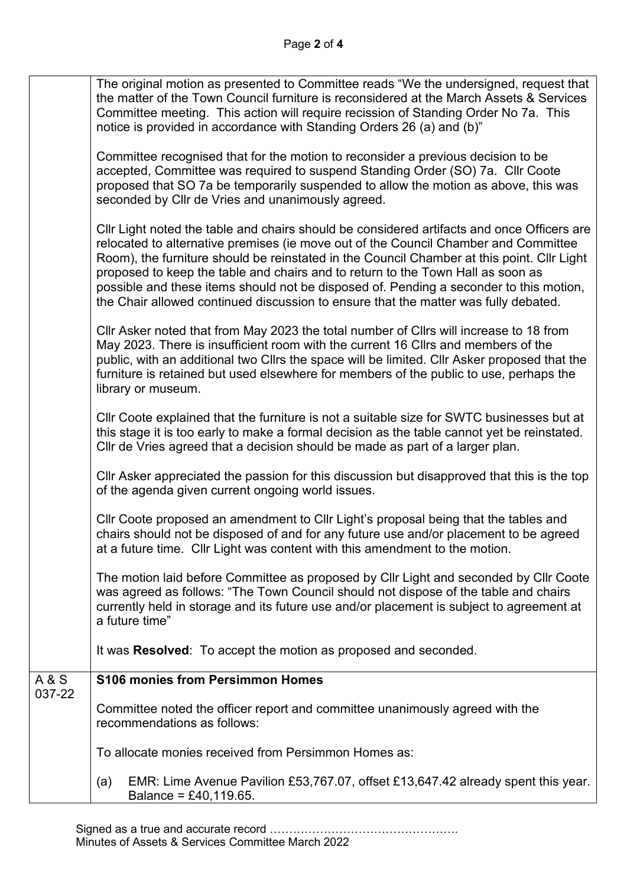|                 | The original motion as presented to Committee reads "We the undersigned, request that<br>the matter of the Town Council furniture is reconsidered at the March Assets & Services<br>Committee meeting. This action will require recission of Standing Order No 7a. This<br>notice is provided in accordance with Standing Orders 26 (a) and (b)"                                                                                                                                                                                                    |
|-----------------|-----------------------------------------------------------------------------------------------------------------------------------------------------------------------------------------------------------------------------------------------------------------------------------------------------------------------------------------------------------------------------------------------------------------------------------------------------------------------------------------------------------------------------------------------------|
|                 | Committee recognised that for the motion to reconsider a previous decision to be<br>accepted, Committee was required to suspend Standing Order (SO) 7a. Cllr Coote<br>proposed that SO 7a be temporarily suspended to allow the motion as above, this was<br>seconded by Cllr de Vries and unanimously agreed.                                                                                                                                                                                                                                      |
|                 | Cllr Light noted the table and chairs should be considered artifacts and once Officers are<br>relocated to alternative premises (ie move out of the Council Chamber and Committee<br>Room), the furniture should be reinstated in the Council Chamber at this point. Cllr Light<br>proposed to keep the table and chairs and to return to the Town Hall as soon as<br>possible and these items should not be disposed of. Pending a seconder to this motion,<br>the Chair allowed continued discussion to ensure that the matter was fully debated. |
|                 | Cllr Asker noted that from May 2023 the total number of Cllrs will increase to 18 from<br>May 2023. There is insufficient room with the current 16 Cllrs and members of the<br>public, with an additional two Cllrs the space will be limited. Cllr Asker proposed that the<br>furniture is retained but used elsewhere for members of the public to use, perhaps the<br>library or museum.                                                                                                                                                         |
|                 | Cllr Coote explained that the furniture is not a suitable size for SWTC businesses but at<br>this stage it is too early to make a formal decision as the table cannot yet be reinstated.<br>Cllr de Vries agreed that a decision should be made as part of a larger plan.                                                                                                                                                                                                                                                                           |
|                 | CIIr Asker appreciated the passion for this discussion but disapproved that this is the top<br>of the agenda given current ongoing world issues.                                                                                                                                                                                                                                                                                                                                                                                                    |
|                 | CIIr Coote proposed an amendment to CIIr Light's proposal being that the tables and<br>chairs should not be disposed of and for any future use and/or placement to be agreed<br>at a future time. Cllr Light was content with this amendment to the motion.                                                                                                                                                                                                                                                                                         |
|                 | The motion laid before Committee as proposed by Cllr Light and seconded by Cllr Coote<br>was agreed as follows: "The Town Council should not dispose of the table and chairs<br>currently held in storage and its future use and/or placement is subject to agreement at<br>a future time"                                                                                                                                                                                                                                                          |
|                 | It was Resolved: To accept the motion as proposed and seconded.                                                                                                                                                                                                                                                                                                                                                                                                                                                                                     |
| A & S<br>037-22 | <b>S106 monies from Persimmon Homes</b>                                                                                                                                                                                                                                                                                                                                                                                                                                                                                                             |
|                 | Committee noted the officer report and committee unanimously agreed with the<br>recommendations as follows:                                                                                                                                                                                                                                                                                                                                                                                                                                         |
|                 | To allocate monies received from Persimmon Homes as:                                                                                                                                                                                                                                                                                                                                                                                                                                                                                                |
|                 | EMR: Lime Avenue Pavilion £53,767.07, offset £13,647.42 already spent this year.<br>(a)<br>Balance = £40,119.65.                                                                                                                                                                                                                                                                                                                                                                                                                                    |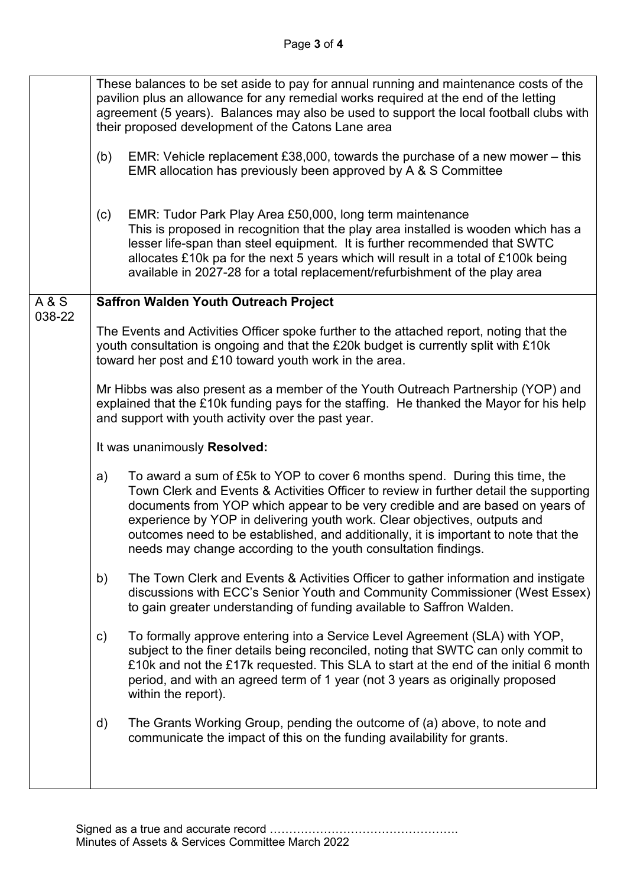|                | These balances to be set aside to pay for annual running and maintenance costs of the<br>pavilion plus an allowance for any remedial works required at the end of the letting<br>agreement (5 years). Balances may also be used to support the local football clubs with<br>their proposed development of the Catons Lane area                                                                                                                                                                    |
|----------------|---------------------------------------------------------------------------------------------------------------------------------------------------------------------------------------------------------------------------------------------------------------------------------------------------------------------------------------------------------------------------------------------------------------------------------------------------------------------------------------------------|
|                | EMR: Vehicle replacement £38,000, towards the purchase of a new mower $-$ this<br>(b)<br>EMR allocation has previously been approved by A & S Committee                                                                                                                                                                                                                                                                                                                                           |
|                | EMR: Tudor Park Play Area £50,000, long term maintenance<br>(c)<br>This is proposed in recognition that the play area installed is wooden which has a<br>lesser life-span than steel equipment. It is further recommended that SWTC<br>allocates £10k pa for the next 5 years which will result in a total of £100k being<br>available in 2027-28 for a total replacement/refurbishment of the play area                                                                                          |
| <b>A&amp;S</b> | <b>Saffron Walden Youth Outreach Project</b>                                                                                                                                                                                                                                                                                                                                                                                                                                                      |
| 038-22         | The Events and Activities Officer spoke further to the attached report, noting that the<br>youth consultation is ongoing and that the £20k budget is currently split with £10k<br>toward her post and £10 toward youth work in the area.                                                                                                                                                                                                                                                          |
|                | Mr Hibbs was also present as a member of the Youth Outreach Partnership (YOP) and<br>explained that the £10k funding pays for the staffing. He thanked the Mayor for his help<br>and support with youth activity over the past year.                                                                                                                                                                                                                                                              |
|                | It was unanimously Resolved:                                                                                                                                                                                                                                                                                                                                                                                                                                                                      |
|                | To award a sum of £5k to YOP to cover 6 months spend. During this time, the<br>a)<br>Town Clerk and Events & Activities Officer to review in further detail the supporting<br>documents from YOP which appear to be very credible and are based on years of<br>experience by YOP in delivering youth work. Clear objectives, outputs and<br>outcomes need to be established, and additionally, it is important to note that the<br>needs may change according to the youth consultation findings. |
|                | The Town Clerk and Events & Activities Officer to gather information and instigate<br>b)<br>discussions with ECC's Senior Youth and Community Commissioner (West Essex)<br>to gain greater understanding of funding available to Saffron Walden.                                                                                                                                                                                                                                                  |
|                | To formally approve entering into a Service Level Agreement (SLA) with YOP,<br>c)<br>subject to the finer details being reconciled, noting that SWTC can only commit to<br>£10k and not the £17k requested. This SLA to start at the end of the initial 6 month<br>period, and with an agreed term of 1 year (not 3 years as originally proposed<br>within the report).                                                                                                                           |
|                | The Grants Working Group, pending the outcome of (a) above, to note and<br>d)<br>communicate the impact of this on the funding availability for grants.                                                                                                                                                                                                                                                                                                                                           |